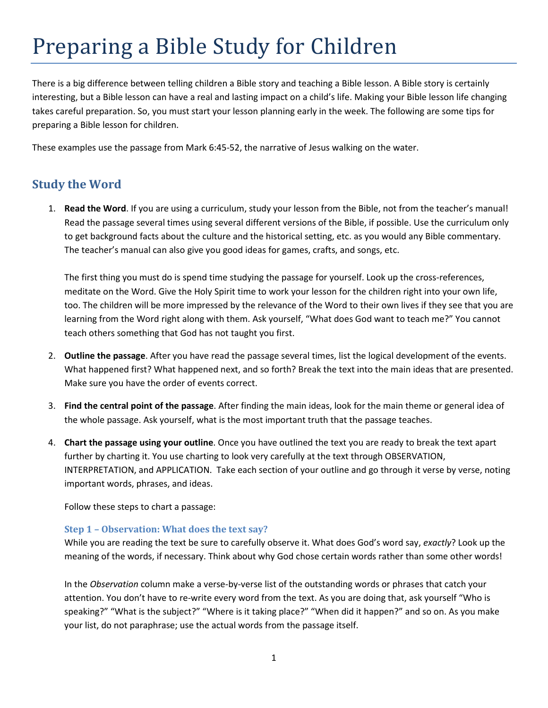# Preparing a Bible Study for Children

There is a big difference between telling children a Bible story and teaching a Bible lesson. A Bible story is certainly interesting, but a Bible lesson can have a real and lasting impact on a child's life. Making your Bible lesson life changing takes careful preparation. So, you must start your lesson planning early in the week. The following are some tips for preparing a Bible lesson for children.

These examples use the passage from Mark 6:45-52, the narrative of Jesus walking on the water.

## **Study the Word**

1. **Read the Word**. If you are using a curriculum, study your lesson from the Bible, not from the teacher's manual! Read the passage several times using several different versions of the Bible, if possible. Use the curriculum only to get background facts about the culture and the historical setting, etc. as you would any Bible commentary. The teacher's manual can also give you good ideas for games, crafts, and songs, etc.

The first thing you must do is spend time studying the passage for yourself. Look up the cross-references, meditate on the Word. Give the Holy Spirit time to work your lesson for the children right into your own life, too. The children will be more impressed by the relevance of the Word to their own lives if they see that you are learning from the Word right along with them. Ask yourself, "What does God want to teach me?" You cannot teach others something that God has not taught you first.

- 2. **Outline the passage**. After you have read the passage several times, list the logical development of the events. What happened first? What happened next, and so forth? Break the text into the main ideas that are presented. Make sure you have the order of events correct.
- 3. **Find the central point of the passage**. After finding the main ideas, look for the main theme or general idea of the whole passage. Ask yourself, what is the most important truth that the passage teaches.
- 4. **Chart the passage using your outline**. Once you have outlined the text you are ready to break the text apart further by charting it. You use charting to look very carefully at the text through OBSERVATION, INTERPRETATION, and APPLICATION. Take each section of your outline and go through it verse by verse, noting important words, phrases, and ideas.

Follow these steps to chart a passage:

## **Step 1 – Observation: What does the text say?**

While you are reading the text be sure to carefully observe it. What does God's word say, *exactly*? Look up the meaning of the words, if necessary. Think about why God chose certain words rather than some other words!

In the *Observation* column make a verse-by-verse list of the outstanding words or phrases that catch your attention. You don't have to re-write every word from the text. As you are doing that, ask yourself "Who is speaking?" "What is the subject?" "Where is it taking place?" "When did it happen?" and so on. As you make your list, do not paraphrase; use the actual words from the passage itself.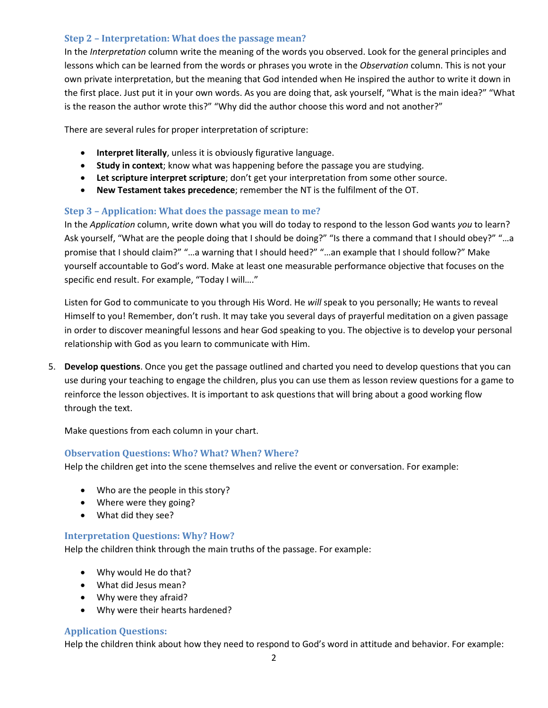## **Step 2 – Interpretation: What does the passage mean?**

In the *Interpretation* column write the meaning of the words you observed. Look for the general principles and lessons which can be learned from the words or phrases you wrote in the *Observation* column. This is not your own private interpretation, but the meaning that God intended when He inspired the author to write it down in the first place. Just put it in your own words. As you are doing that, ask yourself, "What is the main idea?" "What is the reason the author wrote this?" "Why did the author choose this word and not another?"

There are several rules for proper interpretation of scripture:

- **Interpret literally**, unless it is obviously figurative language.
- **Study in context**; know what was happening before the passage you are studying.
- **Let scripture interpret scripture**; don't get your interpretation from some other source.
- **New Testament takes precedence**; remember the NT is the fulfilment of the OT.

## **Step 3 – Application: What does the passage mean to me?**

In the *Application* column, write down what you will do today to respond to the lesson God wants *you* to learn? Ask yourself, "What are the people doing that I should be doing?" "Is there a command that I should obey?" "…a promise that I should claim?" "…a warning that I should heed?" "…an example that I should follow?" Make yourself accountable to God's word. Make at least one measurable performance objective that focuses on the specific end result. For example, "Today I will…."

Listen for God to communicate to you through His Word. He *will* speak to you personally; He wants to reveal Himself to you! Remember, don't rush. It may take you several days of prayerful meditation on a given passage in order to discover meaningful lessons and hear God speaking to you. The objective is to develop your personal relationship with God as you learn to communicate with Him.

5. **Develop questions**. Once you get the passage outlined and charted you need to develop questions that you can use during your teaching to engage the children, plus you can use them as lesson review questions for a game to reinforce the lesson objectives. It is important to ask questions that will bring about a good working flow through the text.

Make questions from each column in your chart.

## **Observation Questions: Who? What? When? Where?**

Help the children get into the scene themselves and relive the event or conversation. For example:

- Who are the people in this story?
- Where were they going?
- What did they see?

## **Interpretation Questions: Why? How?**

Help the children think through the main truths of the passage. For example:

- Why would He do that?
- What did Jesus mean?
- Why were they afraid?
- Why were their hearts hardened?

## **Application Questions:**

Help the children think about how they need to respond to God's word in attitude and behavior. For example: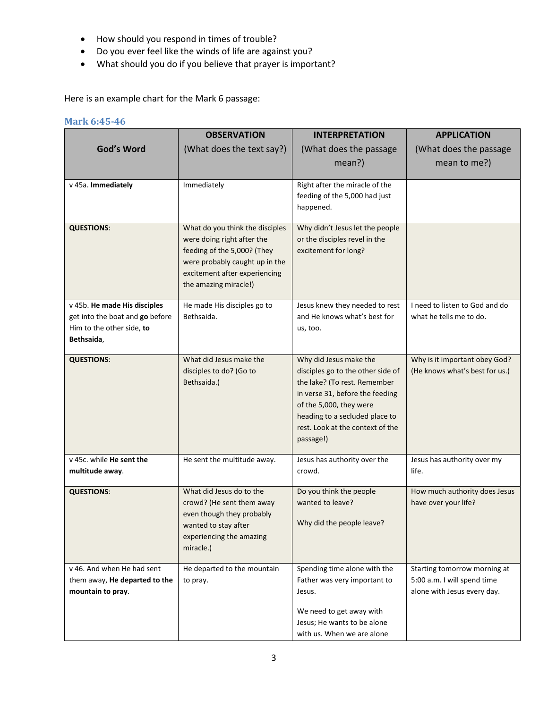- How should you respond in times of trouble?
- Do you ever feel like the winds of life are against you?
- What should you do if you believe that prayer is important?

Here is an example chart for the Mark 6 passage:

#### **Mark 6:45-46**

|                                 | <b>OBSERVATION</b>                                            | <b>INTERPRETATION</b>                                            | <b>APPLICATION</b>             |
|---------------------------------|---------------------------------------------------------------|------------------------------------------------------------------|--------------------------------|
| God's Word                      | (What does the text say?)                                     | (What does the passage                                           | (What does the passage         |
|                                 |                                                               | mean?)                                                           | mean to me?)                   |
|                                 |                                                               |                                                                  |                                |
| v 45a. Immediately              | Immediately                                                   | Right after the miracle of the                                   |                                |
|                                 |                                                               | feeding of the 5,000 had just                                    |                                |
|                                 |                                                               | happened.                                                        |                                |
| <b>QUESTIONS:</b>               |                                                               |                                                                  |                                |
|                                 | What do you think the disciples<br>were doing right after the | Why didn't Jesus let the people<br>or the disciples revel in the |                                |
|                                 | feeding of the 5,000? (They                                   | excitement for long?                                             |                                |
|                                 | were probably caught up in the                                |                                                                  |                                |
|                                 | excitement after experiencing                                 |                                                                  |                                |
|                                 | the amazing miracle!)                                         |                                                                  |                                |
|                                 |                                                               |                                                                  |                                |
| v 45b. He made His disciples    | He made His disciples go to                                   | Jesus knew they needed to rest                                   | I need to listen to God and do |
| get into the boat and go before | Bethsaida.                                                    | and He knows what's best for                                     | what he tells me to do.        |
| Him to the other side, to       |                                                               | us, too.                                                         |                                |
| Bethsaida,                      |                                                               |                                                                  |                                |
| <b>QUESTIONS:</b>               | What did Jesus make the                                       | Why did Jesus make the                                           | Why is it important obey God?  |
|                                 | disciples to do? (Go to                                       | disciples go to the other side of                                | (He knows what's best for us.) |
|                                 | Bethsaida.)                                                   | the lake? (To rest. Remember                                     |                                |
|                                 |                                                               | in verse 31, before the feeding                                  |                                |
|                                 |                                                               | of the 5,000, they were                                          |                                |
|                                 |                                                               | heading to a secluded place to                                   |                                |
|                                 |                                                               | rest. Look at the context of the                                 |                                |
|                                 |                                                               | passage!)                                                        |                                |
| v 45c. while He sent the        | He sent the multitude away.                                   | Jesus has authority over the                                     | Jesus has authority over my    |
| multitude away.                 |                                                               | crowd.                                                           | life.                          |
|                                 |                                                               |                                                                  |                                |
| <b>QUESTIONS:</b>               | What did Jesus do to the                                      | Do you think the people                                          | How much authority does Jesus  |
|                                 | crowd? (He sent them away                                     | wanted to leave?                                                 | have over your life?           |
|                                 | even though they probably                                     | Why did the people leave?                                        |                                |
|                                 | wanted to stay after                                          |                                                                  |                                |
|                                 | experiencing the amazing                                      |                                                                  |                                |
|                                 | miracle.)                                                     |                                                                  |                                |
| v 46. And when He had sent      | He departed to the mountain                                   | Spending time alone with the                                     | Starting tomorrow morning at   |
| them away, He departed to the   | to pray.                                                      | Father was very important to                                     | 5:00 a.m. I will spend time    |
| mountain to pray.               |                                                               | Jesus.                                                           | alone with Jesus every day.    |
|                                 |                                                               | We need to get away with                                         |                                |
|                                 |                                                               | Jesus; He wants to be alone                                      |                                |
|                                 |                                                               | with us. When we are alone                                       |                                |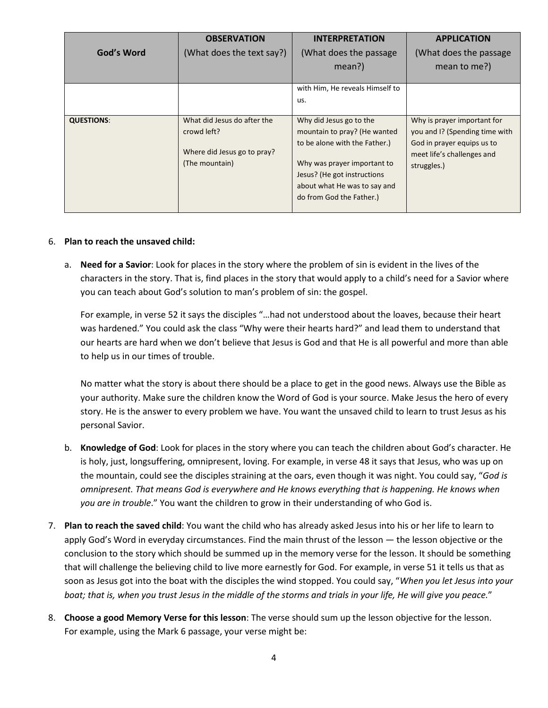|                   | <b>OBSERVATION</b>          | <b>INTERPRETATION</b>           | <b>APPLICATION</b>             |
|-------------------|-----------------------------|---------------------------------|--------------------------------|
| God's Word        | (What does the text say?)   | (What does the passage)         | (What does the passage)        |
|                   |                             | mean?)                          | mean to me?)                   |
|                   |                             |                                 |                                |
|                   |                             | with Him, He reveals Himself to |                                |
|                   |                             | us.                             |                                |
|                   |                             |                                 |                                |
| <b>QUESTIONS:</b> | What did Jesus do after the | Why did Jesus go to the         | Why is prayer important for    |
|                   | crowd left?                 | mountain to pray? (He wanted    | you and I? (Spending time with |
|                   |                             | to be alone with the Father.)   | God in prayer equips us to     |
|                   | Where did Jesus go to pray? |                                 | meet life's challenges and     |
|                   | (The mountain)              | Why was prayer important to     | struggles.)                    |
|                   |                             | Jesus? (He got instructions     |                                |
|                   |                             | about what He was to say and    |                                |
|                   |                             | do from God the Father.)        |                                |
|                   |                             |                                 |                                |

#### 6. **Plan to reach the unsaved child:**

a. **Need for a Savior**: Look for places in the story where the problem of sin is evident in the lives of the characters in the story. That is, find places in the story that would apply to a child's need for a Savior where you can teach about God's solution to man's problem of sin: the gospel.

For example, in verse 52 it says the disciples "…had not understood about the loaves, because their heart was hardened." You could ask the class "Why were their hearts hard?" and lead them to understand that our hearts are hard when we don't believe that Jesus is God and that He is all powerful and more than able to help us in our times of trouble.

No matter what the story is about there should be a place to get in the good news. Always use the Bible as your authority. Make sure the children know the Word of God is your source. Make Jesus the hero of every story. He is the answer to every problem we have. You want the unsaved child to learn to trust Jesus as his personal Savior.

- b. **Knowledge of God**: Look for places in the story where you can teach the children about God's character. He is holy, just, longsuffering, omnipresent, loving. For example, in verse 48 it says that Jesus, who was up on the mountain, could see the disciples straining at the oars, even though it was night. You could say, "*God is omnipresent. That means God is everywhere and He knows everything that is happening. He knows when you are in trouble*." You want the children to grow in their understanding of who God is.
- 7. **Plan to reach the saved child**: You want the child who has already asked Jesus into his or her life to learn to apply God's Word in everyday circumstances. Find the main thrust of the lesson — the lesson objective or the conclusion to the story which should be summed up in the memory verse for the lesson. It should be something that will challenge the believing child to live more earnestly for God. For example, in verse 51 it tells us that as soon as Jesus got into the boat with the disciples the wind stopped. You could say, "*When you let Jesus into your boat; that is, when you trust Jesus in the middle of the storms and trials in your life, He will give you peace.*"
- 8. **Choose a good Memory Verse for this lesson**: The verse should sum up the lesson objective for the lesson. For example, using the Mark 6 passage, your verse might be: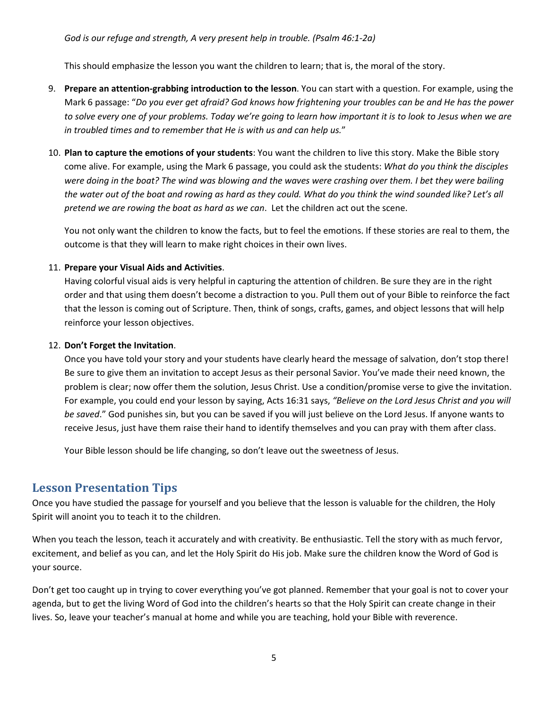This should emphasize the lesson you want the children to learn; that is, the moral of the story.

- 9. **Prepare an attention-grabbing introduction to the lesson**. You can start with a question. For example, using the Mark 6 passage: "*Do you ever get afraid? God knows how frightening your troubles can be and He has the power to solve every one of your problems. Today we're going to learn how important it is to look to Jesus when we are in troubled times and to remember that He is with us and can help us.*"
- 10. **Plan to capture the emotions of your students**: You want the children to live this story. Make the Bible story come alive. For example, using the Mark 6 passage, you could ask the students: *What do you think the disciples were doing in the boat? The wind was blowing and the waves were crashing over them. I bet they were bailing the water out of the boat and rowing as hard as they could. What do you think the wind sounded like? Let's all pretend we are rowing the boat as hard as we can*. Let the children act out the scene.

You not only want the children to know the facts, but to feel the emotions. If these stories are real to them, the outcome is that they will learn to make right choices in their own lives.

#### 11. **Prepare your Visual Aids and Activities**.

Having colorful visual aids is very helpful in capturing the attention of children. Be sure they are in the right order and that using them doesn't become a distraction to you. Pull them out of your Bible to reinforce the fact that the lesson is coming out of Scripture. Then, think of songs, crafts, games, and object lessons that will help reinforce your lesson objectives.

#### 12. **Don't Forget the Invitation**.

Once you have told your story and your students have clearly heard the message of salvation, don't stop there! Be sure to give them an invitation to accept Jesus as their personal Savior. You've made their need known, the problem is clear; now offer them the solution, Jesus Christ. Use a condition/promise verse to give the invitation. For example, you could end your lesson by saying, Acts 16:31 says, *"Believe on the Lord Jesus Christ and you will be saved*." God punishes sin, but you can be saved if you will just believe on the Lord Jesus. If anyone wants to receive Jesus, just have them raise their hand to identify themselves and you can pray with them after class.

Your Bible lesson should be life changing, so don't leave out the sweetness of Jesus.

## **Lesson Presentation Tips**

Once you have studied the passage for yourself and you believe that the lesson is valuable for the children, the Holy Spirit will anoint you to teach it to the children.

When you teach the lesson, teach it accurately and with creativity. Be enthusiastic. Tell the story with as much fervor, excitement, and belief as you can, and let the Holy Spirit do His job. Make sure the children know the Word of God is your source.

Don't get too caught up in trying to cover everything you've got planned. Remember that your goal is not to cover your agenda, but to get the living Word of God into the children's hearts so that the Holy Spirit can create change in their lives. So, leave your teacher's manual at home and while you are teaching, hold your Bible with reverence.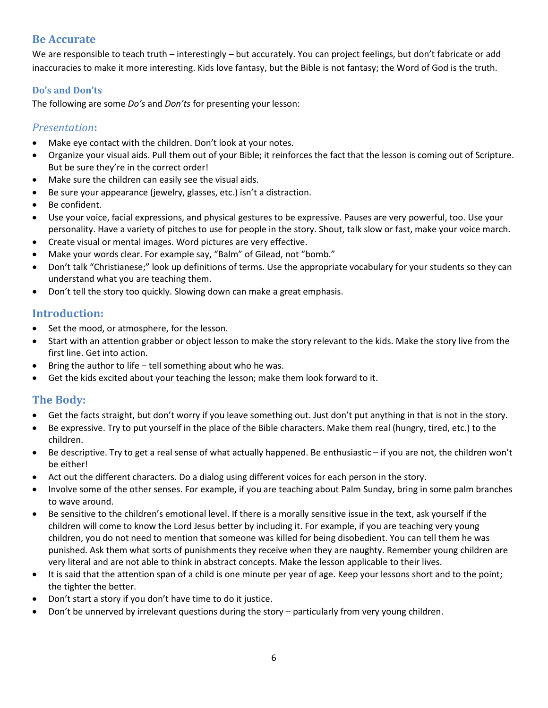## **Be Accurate**

We are responsible to teach truth – interestingly – but accurately. You can project feelings, but don't fabricate or add inaccuracies to make it more interesting. Kids love fantasy, but the Bible is not fantasy; the Word of God is the truth.

## **Do's and Don'ts**

The following are some *Do's* and *Don'ts* for presenting your lesson:

## *Presentation***:**

- Make eye contact with the children. Don't look at your notes.
- Organize your visual aids. Pull them out of your Bible; it reinforces the fact that the lesson is coming out of Scripture. But be sure they're in the correct order!
- Make sure the children can easily see the visual aids.
- Be sure your appearance (jewelry, glasses, etc.) isn't a distraction.
- Be confident.
- Use your voice, facial expressions, and physical gestures to be expressive. Pauses are very powerful, too. Use your personality. Have a variety of pitches to use for people in the story. Shout, talk slow or fast, make your voice march.
- Create visual or mental images. Word pictures are very effective.
- Make your words clear. For example say, "Balm" of Gilead, not "bomb."
- Don't talk "Christianese;" look up definitions of terms. Use the appropriate vocabulary for your students so they can understand what you are teaching them.
- Don't tell the story too quickly. Slowing down can make a great emphasis.

## **Introduction:**

- Set the mood, or atmosphere, for the lesson.
- Start with an attention grabber or object lesson to make the story relevant to the kids. Make the story live from the first line. Get into action.
- Bring the author to life tell something about who he was.
- Get the kids excited about your teaching the lesson; make them look forward to it.

## **The Body:**

- Get the facts straight, but don't worry if you leave something out. Just don't put anything in that is not in the story.
- Be expressive. Try to put yourself in the place of the Bible characters. Make them real (hungry, tired, etc.) to the children.
- Be descriptive. Try to get a real sense of what actually happened. Be enthusiastic if you are not, the children won't be either!
- Act out the different characters. Do a dialog using different voices for each person in the story.
- Involve some of the other senses. For example, if you are teaching about Palm Sunday, bring in some palm branches to wave around.
- Be sensitive to the children's emotional level. If there is a morally sensitive issue in the text, ask yourself if the children will come to know the Lord Jesus better by including it. For example, if you are teaching very young children, you do not need to mention that someone was killed for being disobedient. You can tell them he was punished. Ask them what sorts of punishments they receive when they are naughty. Remember young children are very literal and are not able to think in abstract concepts. Make the lesson applicable to their lives.
- It is said that the attention span of a child is one minute per year of age. Keep your lessons short and to the point; the tighter the better.
- Don't start a story if you don't have time to do it justice.
- Don't be unnerved by irrelevant questions during the story particularly from very young children.